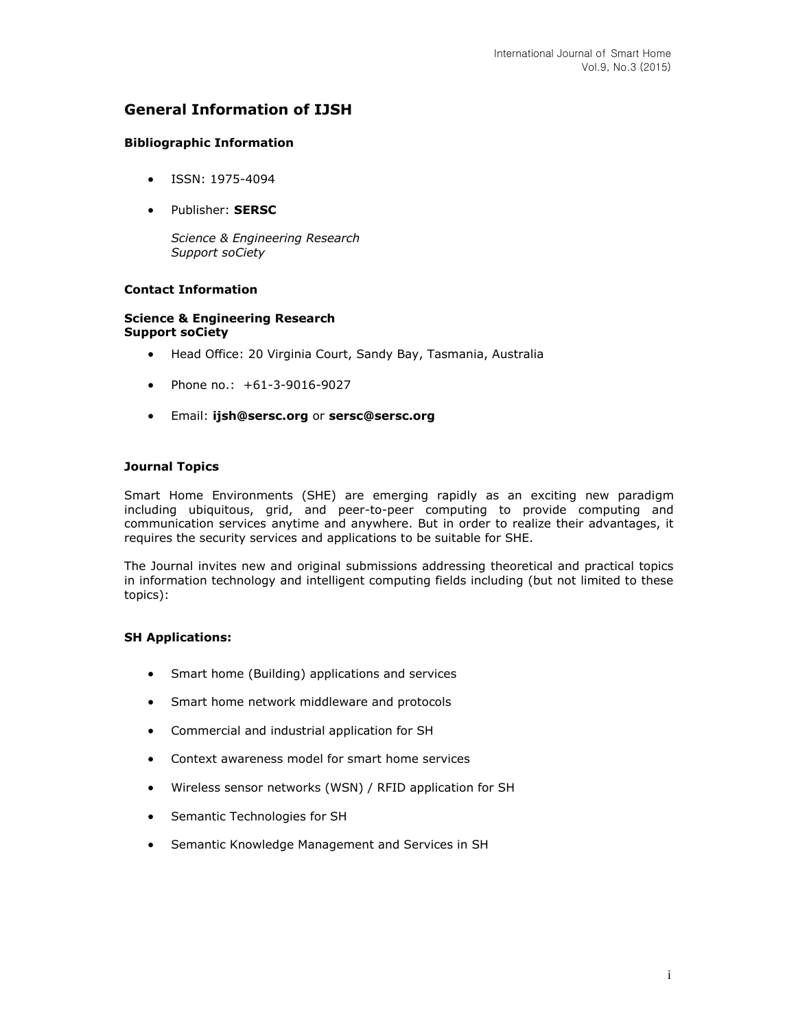# **General Information of IJSH**

### **Bibliographic Information**

- ISSN: 1975-4094
- Publisher: **SERSC**

*Science & Engineering Research Support soCiety*

## **Contact Information**

#### **Science & Engineering Research Support soCiety**

- Head Office: 20 Virginia Court, Sandy Bay, Tasmania, Australia
- Phone no.: +61-3-9016-9027
- Email: **[ijsh@sersc.org](mailto:ijsh@sersc.org)** or **[sersc@sersc.org](mailto:sersc@sersc.org)**

### **Journal Topics**

Smart Home Environments (SHE) are emerging rapidly as an exciting new paradigm including ubiquitous, grid, and peer-to-peer computing to provide computing and communication services anytime and anywhere. But in order to realize their advantages, it requires the security services and applications to be suitable for SHE.

The Journal invites new and original submissions addressing theoretical and practical topics in information technology and intelligent computing fields including (but not limited to these topics):

#### **SH Applications:**

- Smart home (Building) applications and services
- Smart home network middleware and protocols
- Commercial and industrial application for SH
- Context awareness model for smart home services
- Wireless sensor networks (WSN) / RFID application for SH
- Semantic Technologies for SH
- Semantic Knowledge Management and Services in SH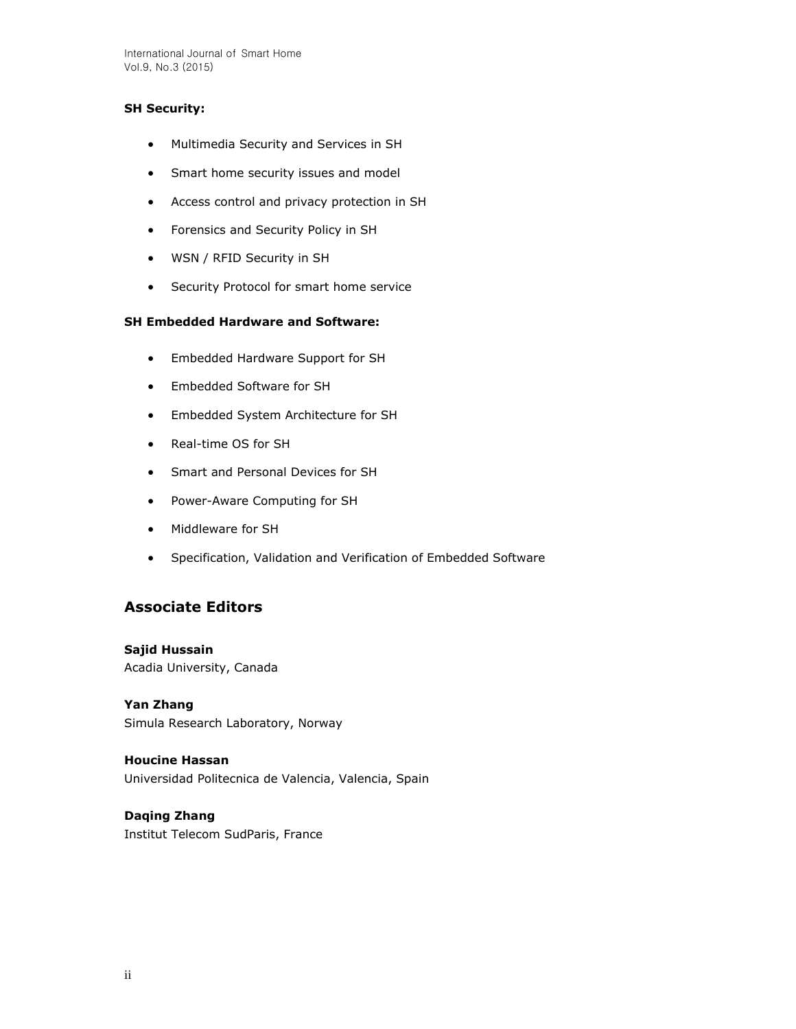International Journal of Smart Home Vol.9, No.3 (2015)

### **SH Security:**

- Multimedia Security and Services in SH
- Smart home security issues and model
- Access control and privacy protection in SH
- Forensics and Security Policy in SH
- WSN / RFID Security in SH
- **•** Security Protocol for smart home service

## **SH Embedded Hardware and Software:**

- Embedded Hardware Support for SH
- Embedded Software for SH
- Embedded System Architecture for SH
- Real-time OS for SH
- Smart and Personal Devices for SH
- Power-Aware Computing for SH
- Middleware for SH
- Specification, Validation and Verification of Embedded Software

## **Associate Editors**

**Sajid Hussain** Acadia University, Canada

**Yan Zhang**  Simula Research Laboratory, Norway

**Houcine Hassan**  Universidad Politecnica de Valencia, Valencia, Spain

**Daqing Zhang** Institut Telecom SudParis, France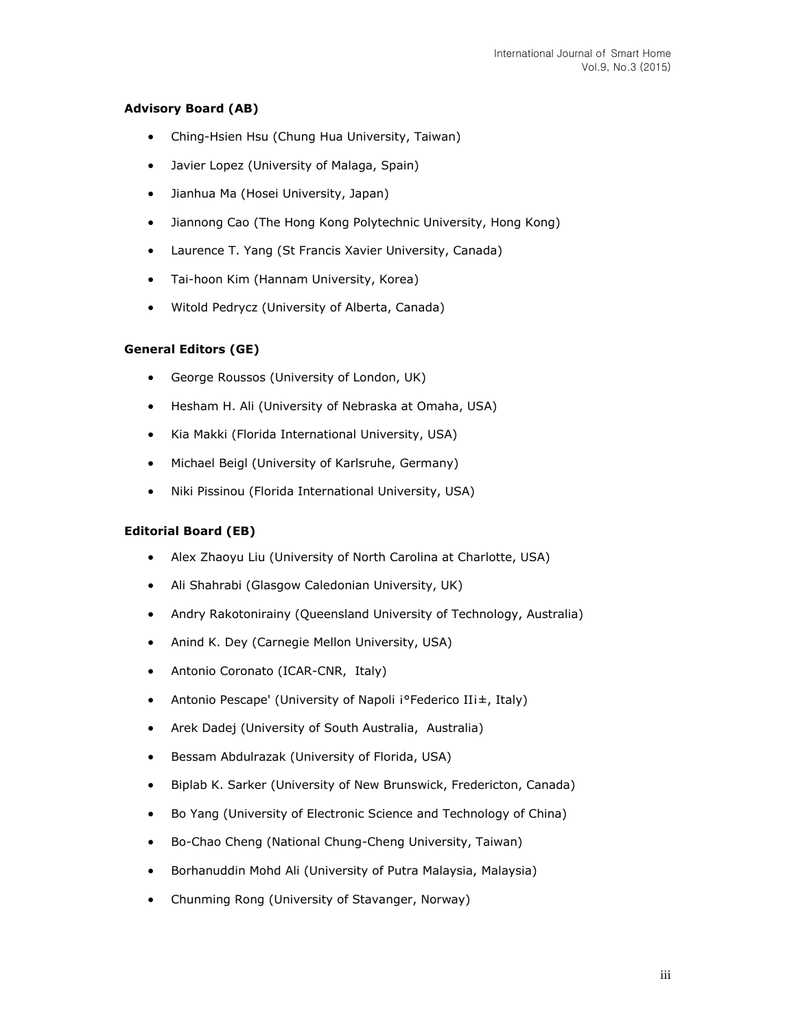## **Advisory Board (AB)**

- Ching-Hsien Hsu (Chung Hua University, Taiwan)
- Javier Lopez (University of Malaga, Spain)
- Jianhua Ma (Hosei University, Japan)
- Jiannong Cao (The Hong Kong Polytechnic University, Hong Kong)
- Laurence T. Yang (St Francis Xavier University, Canada)
- Tai-hoon Kim (Hannam University, Korea)
- Witold Pedrycz (University of Alberta, Canada)

#### **General Editors (GE)**

- George Roussos (University of London, UK)
- Hesham H. Ali (University of Nebraska at Omaha, USA)
- Kia Makki (Florida International University, USA)
- Michael Beigl (University of Karlsruhe, Germany)
- Niki Pissinou (Florida International University, USA)

#### **Editorial Board (EB)**

- Alex Zhaoyu Liu (University of North Carolina at Charlotte, USA)
- Ali Shahrabi (Glasgow Caledonian University, UK)
- Andry Rakotonirainy (Queensland University of Technology, Australia)
- Anind K. Dey (Carnegie Mellon University, USA)
- Antonio Coronato (ICAR-CNR, Italy)
- Antonio Pescape' (University of Napoli i°Federico IIi±, Italy)
- Arek Dadej (University of South Australia, Australia)
- Bessam Abdulrazak (University of Florida, USA)
- Biplab K. Sarker (University of New Brunswick, Fredericton, Canada)
- Bo Yang (University of Electronic Science and Technology of China)
- Bo-Chao Cheng (National Chung-Cheng University, Taiwan)
- Borhanuddin Mohd Ali (University of Putra Malaysia, Malaysia)
- Chunming Rong (University of Stavanger, Norway)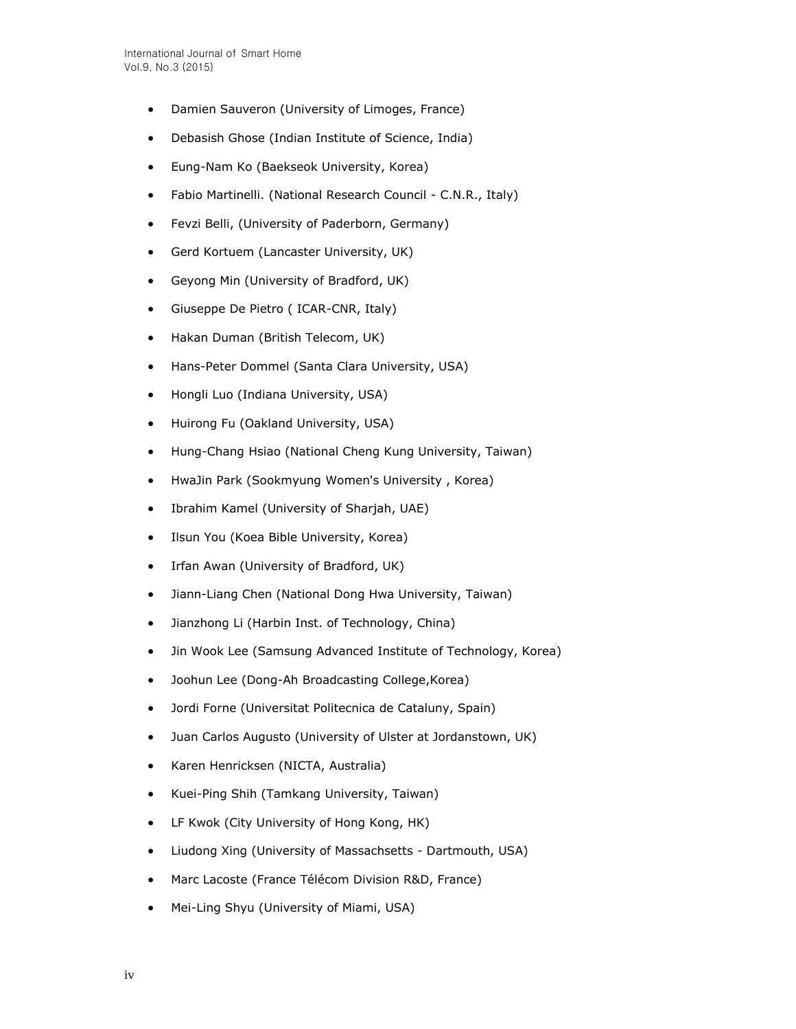- Damien Sauveron (University of Limoges, France)
- Debasish Ghose (Indian Institute of Science, India)
- Eung-Nam Ko (Baekseok University, Korea)
- Fabio Martinelli. (National Research Council C.N.R., Italy)
- Fevzi Belli, (University of Paderborn, Germany)
- Gerd Kortuem (Lancaster University, UK)
- Geyong Min (University of Bradford, UK)
- Giuseppe De Pietro ( ICAR-CNR, Italy)
- Hakan Duman (British Telecom, UK)
- Hans-Peter Dommel (Santa Clara University, USA)
- Hongli Luo (Indiana University, USA)
- Huirong Fu (Oakland University, USA)
- Hung-Chang Hsiao (National Cheng Kung University, Taiwan)
- HwaJin Park (Sookmyung Women's University , Korea)
- Ibrahim Kamel (University of Sharjah, UAE)
- Ilsun You (Koea Bible University, Korea)
- Irfan Awan (University of Bradford, UK)
- Jiann-Liang Chen (National Dong Hwa University, Taiwan)
- Jianzhong Li (Harbin Inst. of Technology, China)
- Jin Wook Lee (Samsung Advanced Institute of Technology, Korea)
- Joohun Lee (Dong-Ah Broadcasting College,Korea)
- Jordi Forne (Universitat Politecnica de Cataluny, Spain)
- Juan Carlos Augusto (University of Ulster at Jordanstown, UK)
- Karen Henricksen (NICTA, Australia)
- Kuei-Ping Shih (Tamkang University, Taiwan)
- LF Kwok (City University of Hong Kong, HK)
- Liudong Xing (University of Massachsetts Dartmouth, USA)
- Marc Lacoste (France Télécom Division R&D, France)
- Mei-Ling Shyu (University of Miami, USA)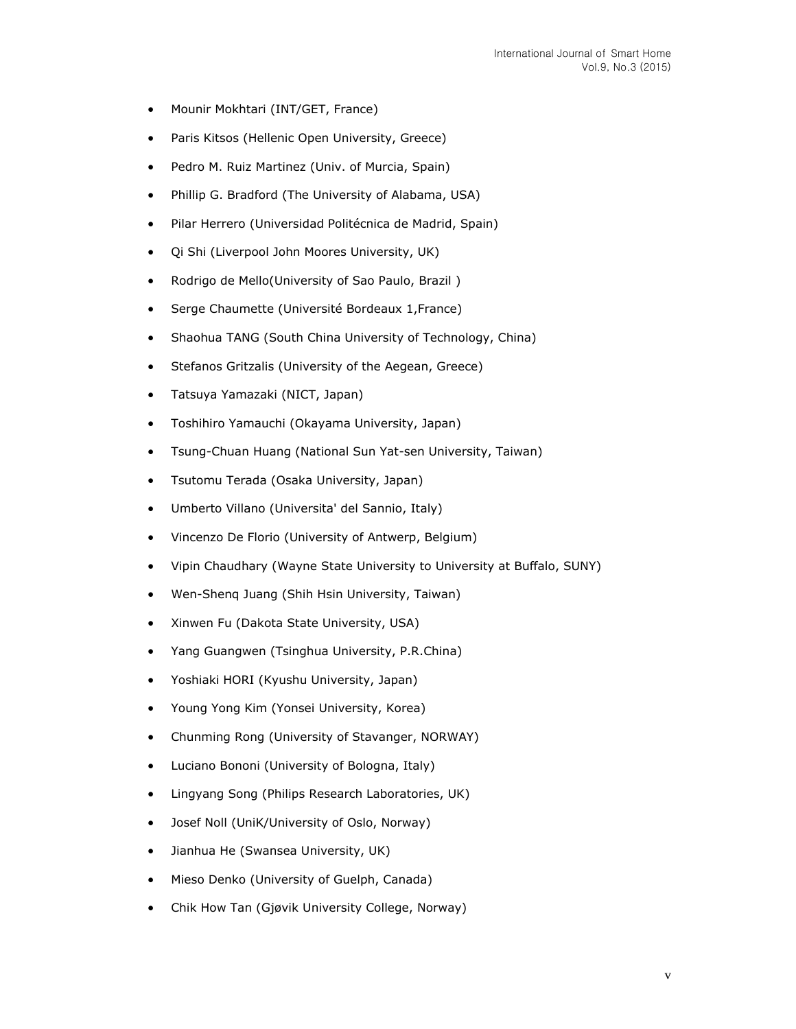- Mounir Mokhtari (INT/GET, France)
- Paris Kitsos (Hellenic Open University, Greece)
- Pedro M. Ruiz Martinez (Univ. of Murcia, Spain)
- Phillip G. Bradford (The University of Alabama, USA)
- Pilar Herrero (Universidad Politécnica de Madrid, Spain)
- Qi Shi (Liverpool John Moores University, UK)
- Rodrigo de Mello(University of Sao Paulo, Brazil)
- Serge Chaumette (Université Bordeaux 1,France)
- Shaohua TANG (South China University of Technology, China)
- Stefanos Gritzalis (University of the Aegean, Greece)
- Tatsuya Yamazaki (NICT, Japan)
- Toshihiro Yamauchi (Okayama University, Japan)
- Tsung-Chuan Huang (National Sun Yat-sen University, Taiwan)
- Tsutomu Terada (Osaka University, Japan)
- Umberto Villano (Universita' del Sannio, Italy)
- Vincenzo De Florio (University of Antwerp, Belgium)
- Vipin Chaudhary (Wayne State University to University at Buffalo, SUNY)
- Wen-Shenq Juang (Shih Hsin University, Taiwan)
- Xinwen Fu (Dakota State University, USA)
- Yang Guangwen (Tsinghua University, P.R.China)
- Yoshiaki HORI (Kyushu University, Japan)
- Young Yong Kim (Yonsei University, Korea)
- Chunming Rong (University of Stavanger, NORWAY)
- Luciano Bononi (University of Bologna, Italy)
- Lingyang Song (Philips Research Laboratories, UK)
- Josef Noll (UniK/University of Oslo, Norway)
- Jianhua He (Swansea University, UK)
- Mieso Denko (University of Guelph, Canada)
- Chik How Tan (Gjøvik University College, Norway)